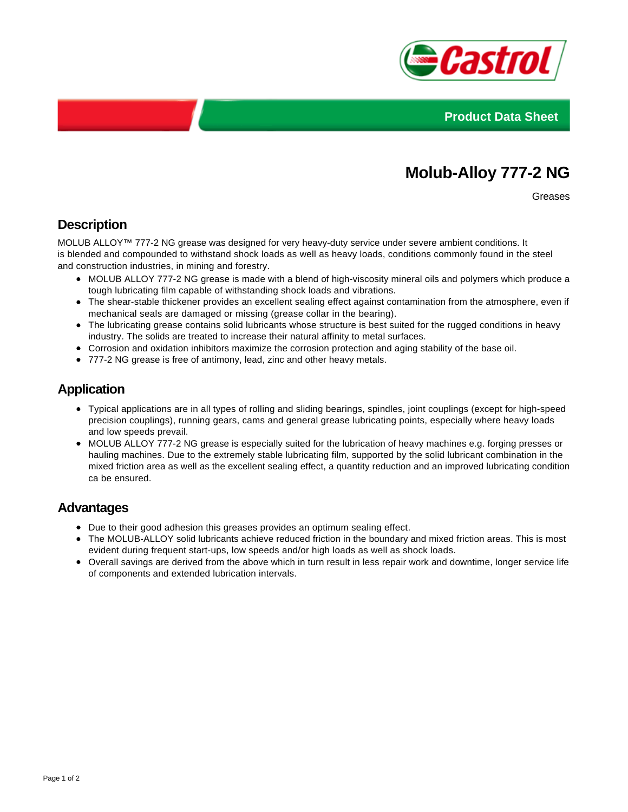



# **Molub-Alloy 777-2 NG**

Greases

## **Description**

MOLUB ALLOY™ 777-2 NG grease was designed for very heavy-duty service under severe ambient conditions. It is blended and compounded to withstand shock loads as well as heavy loads, conditions commonly found in the steel and construction industries, in mining and forestry.

- MOLUB ALLOY 777-2 NG grease is made with a blend of high-viscosity mineral oils and polymers which produce a tough lubricating film capable of withstanding shock loads and vibrations.
- The shear-stable thickener provides an excellent sealing effect against contamination from the atmosphere, even if mechanical seals are damaged or missing (grease collar in the bearing).
- The lubricating grease contains solid lubricants whose structure is best suited for the rugged conditions in heavy industry. The solids are treated to increase their natural affinity to metal surfaces.
- Corrosion and oxidation inhibitors maximize the corrosion protection and aging stability of the base oil.
- 777-2 NG grease is free of antimony, lead, zinc and other heavy metals.

#### **Application**

- Typical applications are in all types of rolling and sliding bearings, spindles, joint couplings (except for high-speed precision couplings), running gears, cams and general grease lubricating points, especially where heavy loads and low speeds prevail.
- MOLUB ALLOY 777-2 NG grease is especially suited for the lubrication of heavy machines e.g. forging presses or hauling machines. Due to the extremely stable lubricating film, supported by the solid lubricant combination in the mixed friction area as well as the excellent sealing effect, a quantity reduction and an improved lubricating condition ca be ensured.

#### **Advantages**

- Due to their good adhesion this greases provides an optimum sealing effect.
- The MOLUB-ALLOY solid lubricants achieve reduced friction in the boundary and mixed friction areas. This is most evident during frequent start-ups, low speeds and/or high loads as well as shock loads.
- Overall savings are derived from the above which in turn result in less repair work and downtime, longer service life of components and extended lubrication intervals.